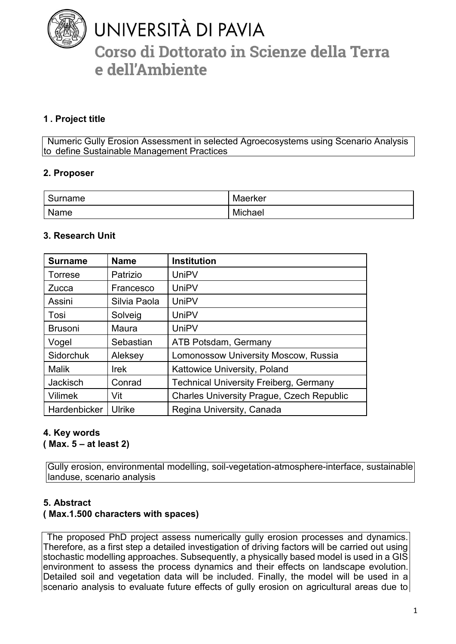

# UNIVERSITÀ DI PAVIA Corso di Dottorato in Scienze della Terra e dell'Ambiente

# **1 . Project title**

Numeric Gully Erosion Assessment in selected Agroecosystems using Scenario Analysis to define Sustainable Management Practices

#### **2. Proposer**

| ົດ<br>Surname | Maerker |
|---------------|---------|
| Name          | Michael |

#### **3. Research Unit**

| <b>Surname</b>  | <b>Name</b>   | <b>Institution</b>                               |
|-----------------|---------------|--------------------------------------------------|
| <b>Torrese</b>  | Patrizio      | <b>UniPV</b>                                     |
| <b>Zucca</b>    | Francesco     | <b>UniPV</b>                                     |
| Assini          | Silvia Paola  | <b>UniPV</b>                                     |
| Tosi            | Solveig       | <b>UniPV</b>                                     |
| <b>Brusoni</b>  | Maura         | <b>UniPV</b>                                     |
| Vogel           | Sebastian     | <b>ATB Potsdam, Germany</b>                      |
| Sidorchuk       | Aleksey       | Lomonossow University Moscow, Russia             |
| <b>Malik</b>    | <b>Irek</b>   | Kattowice University, Poland                     |
| <b>Jackisch</b> | Conrad        | <b>Technical University Freiberg, Germany</b>    |
| <b>Vilimek</b>  | Vit           | <b>Charles University Prague, Czech Republic</b> |
| Hardenbicker    | <b>Ulrike</b> | Regina University, Canada                        |

# **4. Key words**

**( Max. 5 – at least 2)** 

Gully erosion, environmental modelling, soil-vegetation-atmosphere-interface, sustainable landuse, scenario analysis

#### **5. Abstract**

# **( Max.1.500 characters with spaces)**

The proposed PhD project assess numerically gully erosion processes and dynamics. Therefore, as a first step a detailed investigation of driving factors will be carried out using stochastic modelling approaches. Subsequently, a physically based model is used in a GIS environment to assess the process dynamics and their effects on landscape evolution. Detailed soil and vegetation data will be included. Finally, the model will be used in a scenario analysis to evaluate future effects of gully erosion on agricultural areas due to